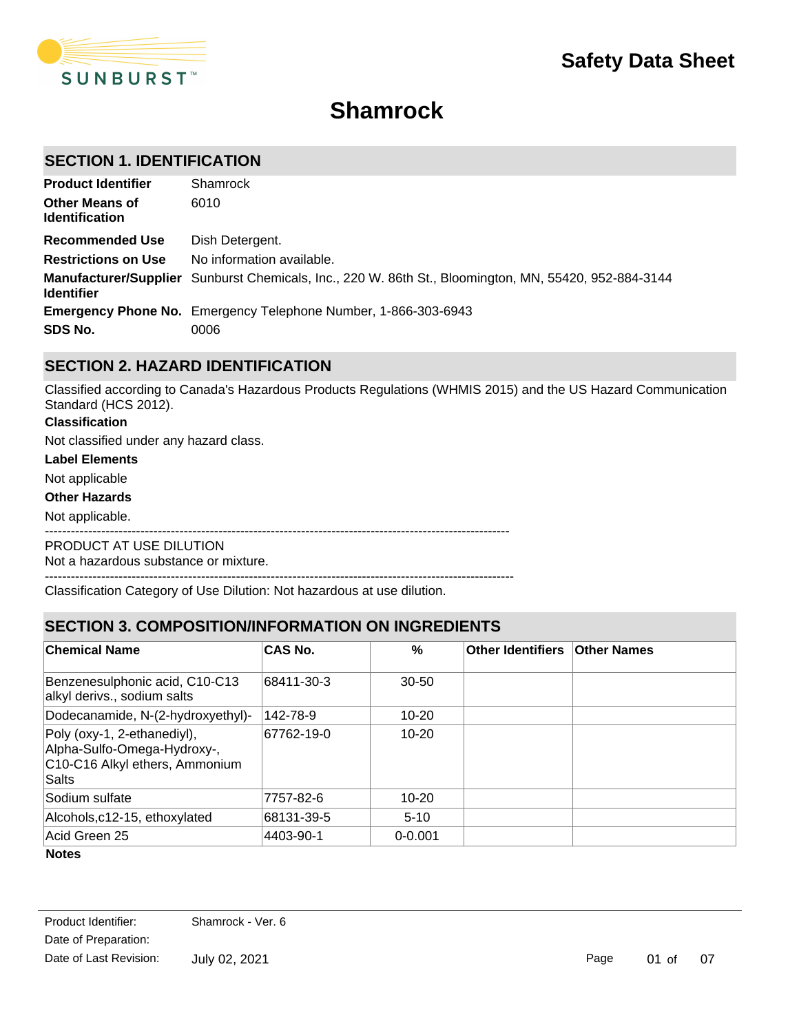

# **Shamrock**

# **SECTION 1. IDENTIFICATION**

| <b>Product Identifier</b>                      | Shamrock                                                                                              |
|------------------------------------------------|-------------------------------------------------------------------------------------------------------|
| <b>Other Means of</b><br><b>Identification</b> | 6010                                                                                                  |
| <b>Recommended Use</b>                         | Dish Detergent.                                                                                       |
| <b>Restrictions on Use</b>                     | No information available.                                                                             |
| <b>Identifier</b>                              | Manufacturer/Supplier Sunburst Chemicals, Inc., 220 W. 86th St., Bloomington, MN, 55420, 952-884-3144 |
|                                                | <b>Emergency Phone No.</b> Emergency Telephone Number, 1-866-303-6943                                 |
| SDS No.                                        | 0006                                                                                                  |

# **SECTION 2. HAZARD IDENTIFICATION**

Classified according to Canada's Hazardous Products Regulations (WHMIS 2015) and the US Hazard Communication Standard (HCS 2012).

#### **Classification**

Not classified under any hazard class.

#### **Label Elements**

Not applicable

#### **Other Hazards**

Not applicable.

-----------------------------------------------------------------------------------------------------------

PRODUCT AT USE DILUTION

Not a hazardous substance or mixture.

------------------------------------------------------------------------------------------------------------

Classification Category of Use Dilution: Not hazardous at use dilution.

# **SECTION 3. COMPOSITION/INFORMATION ON INGREDIENTS**

| ∣Chemical Name                                                                                        | <b>CAS No.</b> | %           | Other Identifiers   Other Names |  |
|-------------------------------------------------------------------------------------------------------|----------------|-------------|---------------------------------|--|
| Benzenesulphonic acid, C10-C13<br>alkyl derivs., sodium salts                                         | 68411-30-3     | $30 - 50$   |                                 |  |
| Dodecanamide, N-(2-hydroxyethyl)-                                                                     | 142-78-9       | $10 - 20$   |                                 |  |
| Poly (oxy-1, 2-ethanediyl),<br>Alpha-Sulfo-Omega-Hydroxy-,<br>C10-C16 Alkyl ethers, Ammonium<br>Salts | 67762-19-0     | $10 - 20$   |                                 |  |
| Sodium sulfate                                                                                        | 7757-82-6      | $10 - 20$   |                                 |  |
| Alcohols, c12-15, ethoxylated                                                                         | 68131-39-5     | $5-10$      |                                 |  |
| Acid Green 25                                                                                         | 4403-90-1      | $0 - 0.001$ |                                 |  |

**Notes**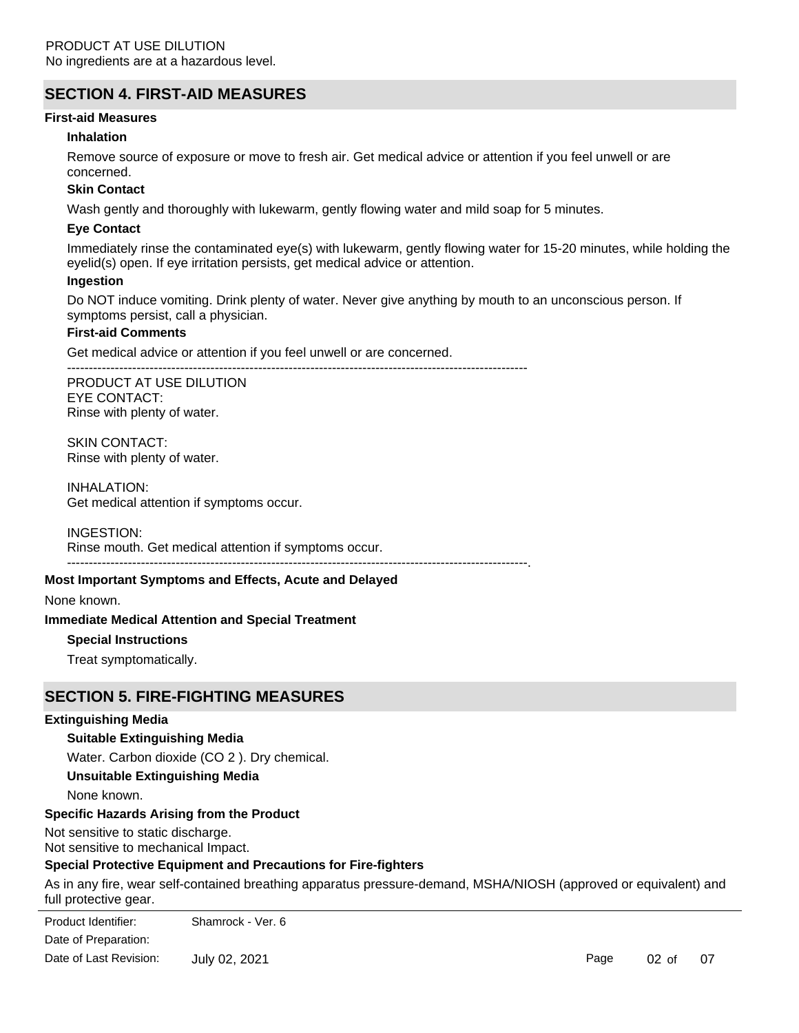# **SECTION 4. FIRST-AID MEASURES**

#### **First-aid Measures**

#### **Inhalation**

Remove source of exposure or move to fresh air. Get medical advice or attention if you feel unwell or are concerned.

### **Skin Contact**

Wash gently and thoroughly with lukewarm, gently flowing water and mild soap for 5 minutes.

### **Eye Contact**

Immediately rinse the contaminated eye(s) with lukewarm, gently flowing water for 15-20 minutes, while holding the eyelid(s) open. If eye irritation persists, get medical advice or attention.

#### **Ingestion**

Do NOT induce vomiting. Drink plenty of water. Never give anything by mouth to an unconscious person. If symptoms persist, call a physician.

#### **First-aid Comments**

Get medical advice or attention if you feel unwell or are concerned.

----------------------------------------------------------------------------------------------------------

PRODUCT AT USE DILUTION EYE CONTACT: Rinse with plenty of water.

SKIN CONTACT: Rinse with plenty of water.

INHALATION: Get medical attention if symptoms occur.

INGESTION:

Rinse mouth. Get medical attention if symptoms occur.

----------------------------------------------------------------------------------------------------------.

#### **Most Important Symptoms and Effects, Acute and Delayed**

#### None known.

**Immediate Medical Attention and Special Treatment**

### **Special Instructions**

Treat symptomatically.

## **SECTION 5. FIRE-FIGHTING MEASURES**

#### **Extinguishing Media**

### **Suitable Extinguishing Media**

Water. Carbon dioxide (CO 2 ). Dry chemical.

### **Unsuitable Extinguishing Media**

None known.

#### **Specific Hazards Arising from the Product**

Not sensitive to static discharge. Not sensitive to mechanical Impact.

## **Special Protective Equipment and Precautions for Fire-fighters**

As in any fire, wear self-contained breathing apparatus pressure-demand, MSHA/NIOSH (approved or equivalent) and full protective gear.

 $\Gamma$  in any fire self-contained breathing apparatus pressure-demand,  $\Gamma$  or  $\Gamma$ Product Identifier: Shamrock - Ver. 6 Date of Preparation: Date of Last Revision: July 02, 2021

Page 02 of 07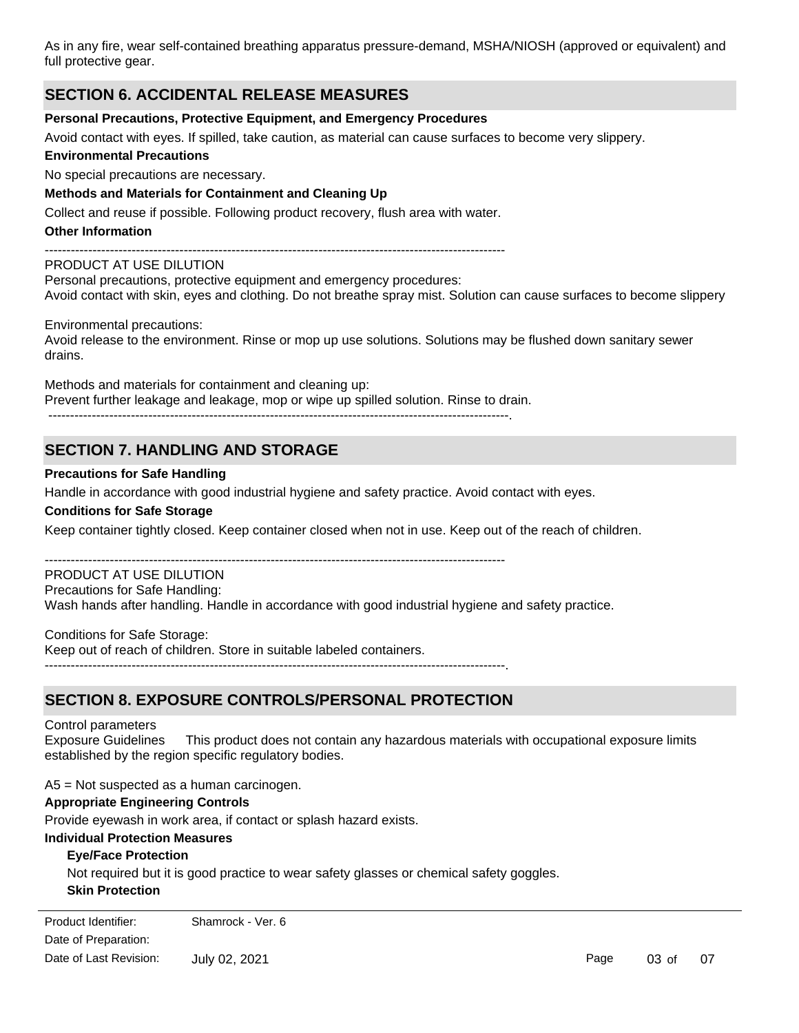As in any fire, wear self-contained breathing apparatus pressure-demand, MSHA/NIOSH (approved or equivalent) and full protective gear.

## **SECTION 6. ACCIDENTAL RELEASE MEASURES**

#### **Personal Precautions, Protective Equipment, and Emergency Procedures**

Avoid contact with eyes. If spilled, take caution, as material can cause surfaces to become very slippery.

#### **Environmental Precautions**

No special precautions are necessary.

### **Methods and Materials for Containment and Cleaning Up**

Collect and reuse if possible. Following product recovery, flush area with water.

### **Other Information**

 $-$ 

### PRODUCT AT USE DILUTION

Personal precautions, protective equipment and emergency procedures: Avoid contact with skin, eyes and clothing. Do not breathe spray mist. Solution can cause surfaces to become slippery

#### Environmental precautions:

Avoid release to the environment. Rinse or mop up use solutions. Solutions may be flushed down sanitary sewer drains.

Methods and materials for containment and cleaning up: Prevent further leakage and leakage, mop or wipe up spilled solution. Rinse to drain. ----------------------------------------------------------------------------------------------------------.

# **SECTION 7. HANDLING AND STORAGE**

### **Precautions for Safe Handling**

Handle in accordance with good industrial hygiene and safety practice. Avoid contact with eyes.

#### **Conditions for Safe Storage**

Keep container tightly closed. Keep container closed when not in use. Keep out of the reach of children.

----------------------------------------------------------------------------------------------------------

#### PRODUCT AT USE DILUTION

Precautions for Safe Handling:

Wash hands after handling. Handle in accordance with good industrial hygiene and safety practice.

Conditions for Safe Storage: Keep out of reach of children. Store in suitable labeled containers. ----------------------------------------------------------------------------------------------------------.

# **SECTION 8. EXPOSURE CONTROLS/PERSONAL PROTECTION**

#### Control parameters

Exposure Guidelines This product does not contain any hazardous materials with occupational exposure limits established by the region specific regulatory bodies.

A5 = Not suspected as a human carcinogen.

#### **Appropriate Engineering Controls**

Provide eyewash in work area, if contact or splash hazard exists.

#### **Individual Protection Measures**

#### **Eye/Face Protection**

Not required but it is good practice to wear safety glasses or chemical safety goggles.

### **Skin Protection**

Not required, if used as directed. Rubber or vinyl gloves recommended when handling solid chemicals. Date of Preparation: Product Identifier: Shamrock - Ver. 6 Date of Last Revision: July 02, 2021

Page 03 of 07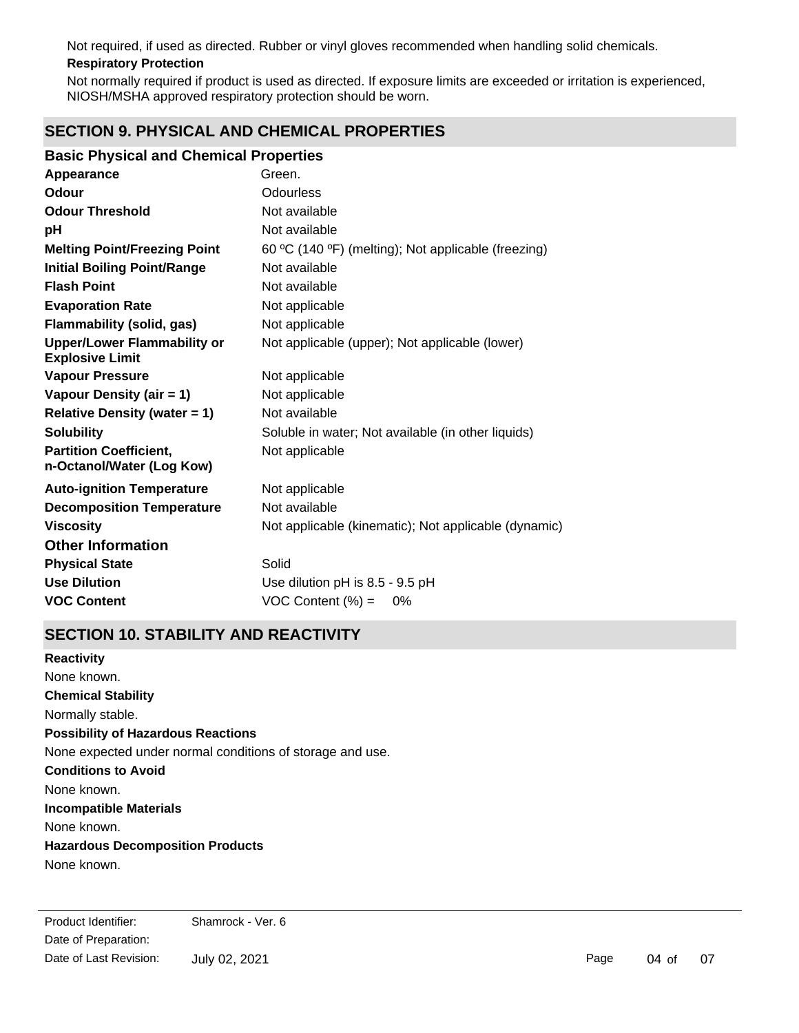**Respiratory Protection** Not required, if used as directed. Rubber or vinyl gloves recommended when handling solid chemicals.

Not normally required if product is used as directed. If exposure limits are exceeded or irritation is experienced, NIOSH/MSHA approved respiratory protection should be worn.

# **SECTION 9. PHYSICAL AND CHEMICAL PROPERTIES**

### **Basic Physical and Chemical Properties**

| Appearance                                                   | Green.                                               |
|--------------------------------------------------------------|------------------------------------------------------|
| Odour                                                        | Odourless                                            |
| <b>Odour Threshold</b>                                       | Not available                                        |
| pH                                                           | Not available                                        |
| <b>Melting Point/Freezing Point</b>                          | 60 °C (140 °F) (melting); Not applicable (freezing)  |
| <b>Initial Boiling Point/Range</b>                           | Not available                                        |
| <b>Flash Point</b>                                           | Not available                                        |
| <b>Evaporation Rate</b>                                      | Not applicable                                       |
| <b>Flammability (solid, gas)</b>                             | Not applicable                                       |
| <b>Upper/Lower Flammability or</b><br><b>Explosive Limit</b> | Not applicable (upper); Not applicable (lower)       |
| <b>Vapour Pressure</b>                                       | Not applicable                                       |
| Vapour Density (air = 1)                                     | Not applicable                                       |
| <b>Relative Density (water = 1)</b>                          | Not available                                        |
| <b>Solubility</b>                                            | Soluble in water; Not available (in other liquids)   |
| <b>Partition Coefficient,</b><br>n-Octanol/Water (Log Kow)   | Not applicable                                       |
| <b>Auto-ignition Temperature</b>                             | Not applicable                                       |
| <b>Decomposition Temperature</b>                             | Not available                                        |
| <b>Viscosity</b>                                             | Not applicable (kinematic); Not applicable (dynamic) |
| <b>Other Information</b>                                     |                                                      |
| <b>Physical State</b>                                        | Solid                                                |
| <b>Use Dilution</b>                                          | Use dilution pH is 8.5 - 9.5 pH                      |
| <b>VOC Content</b>                                           | VOC Content $(\%) =$<br>0%                           |

# **SECTION 10. STABILITY AND REACTIVITY**

**Chemical Stability** Normally stable. **Conditions to Avoid** None known. **Incompatible Materials** None known. **Hazardous Decomposition Products** None known. **Possibility of Hazardous Reactions** None expected under normal conditions of storage and use. **Reactivity** None known.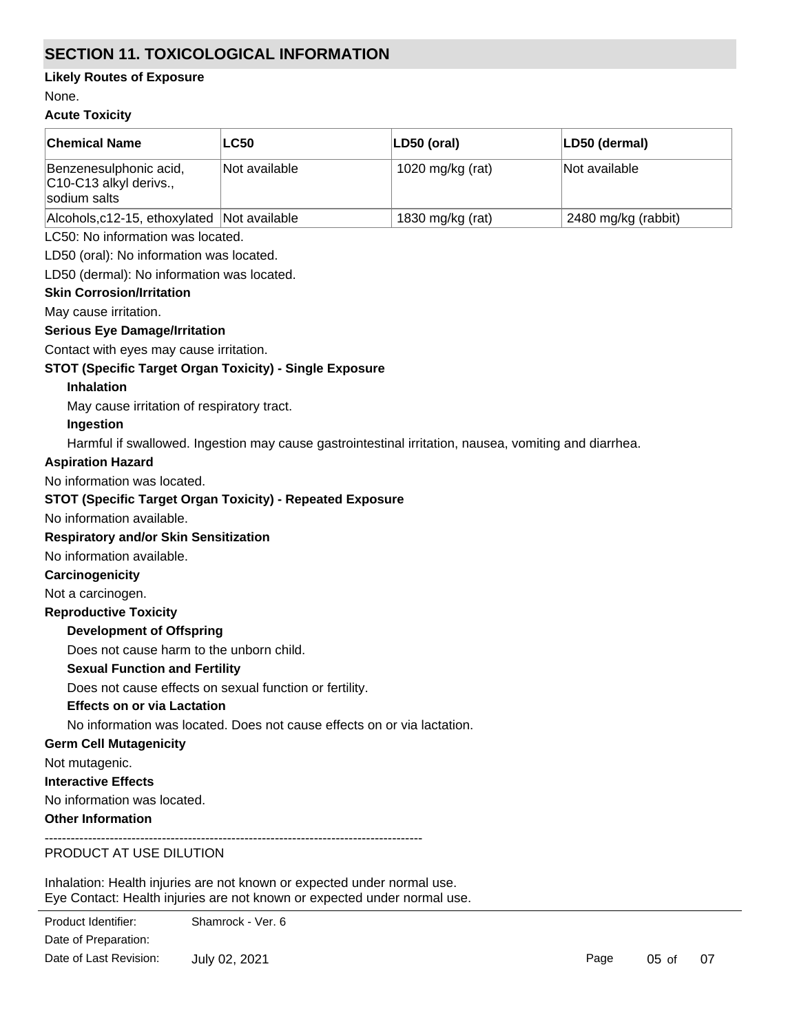# **SECTION 11. TOXICOLOGICAL INFORMATION**

### **Likely Routes of Exposure**

None.

### **Acute Toxicity**

| <b>Chemical Name</b>                                             | <b>LC50</b>   | LD50 (oral)      | LD50 (dermal)       |
|------------------------------------------------------------------|---------------|------------------|---------------------|
| Benzenesulphonic acid,<br>C10-C13 alkyl derivs.,<br>sodium salts | Not available | 1020 mg/kg (rat) | Not available       |
| Alcohols, c12-15, ethoxylated Not available                      |               | 1830 mg/kg (rat) | 2480 mg/kg (rabbit) |
| I C50: No information was located                                |               |                  |                     |

LC50: No information was located.

LD50 (oral): No information was located.

LD50 (dermal): No information was located.

### **Skin Corrosion/Irritation**

May cause irritation.

### **Serious Eye Damage/Irritation**

Contact with eyes may cause irritation.

### **STOT (Specific Target Organ Toxicity) - Single Exposure**

### **Inhalation**

May cause irritation of respiratory tract.

### **Ingestion**

Harmful if swallowed. Ingestion may cause gastrointestinal irritation, nausea, vomiting and diarrhea.

### **Aspiration Hazard**

No information was located.

### **STOT (Specific Target Organ Toxicity) - Repeated Exposure**

No information available.

### **Respiratory and/or Skin Sensitization**

No information available.

### **Carcinogenicity**

Not a carcinogen.

### **Reproductive Toxicity**

**Development of Offspring**

Does not cause harm to the unborn child.

### **Sexual Function and Fertility**

Does not cause effects on sexual function or fertility.

### **Effects on or via Lactation**

No information was located. Does not cause effects on or via lactation.

### **Germ Cell Mutagenicity**

Not mutagenic.

#### **Interactive Effects**

No information was located.

### **Other Information**

---------------------------------------------------------------------------------------

# PRODUCT AT USE DILUTION

Inhalation: Health injuries are not known or expected under normal use. Eye Contact: Health injuries are not known or expected under normal use.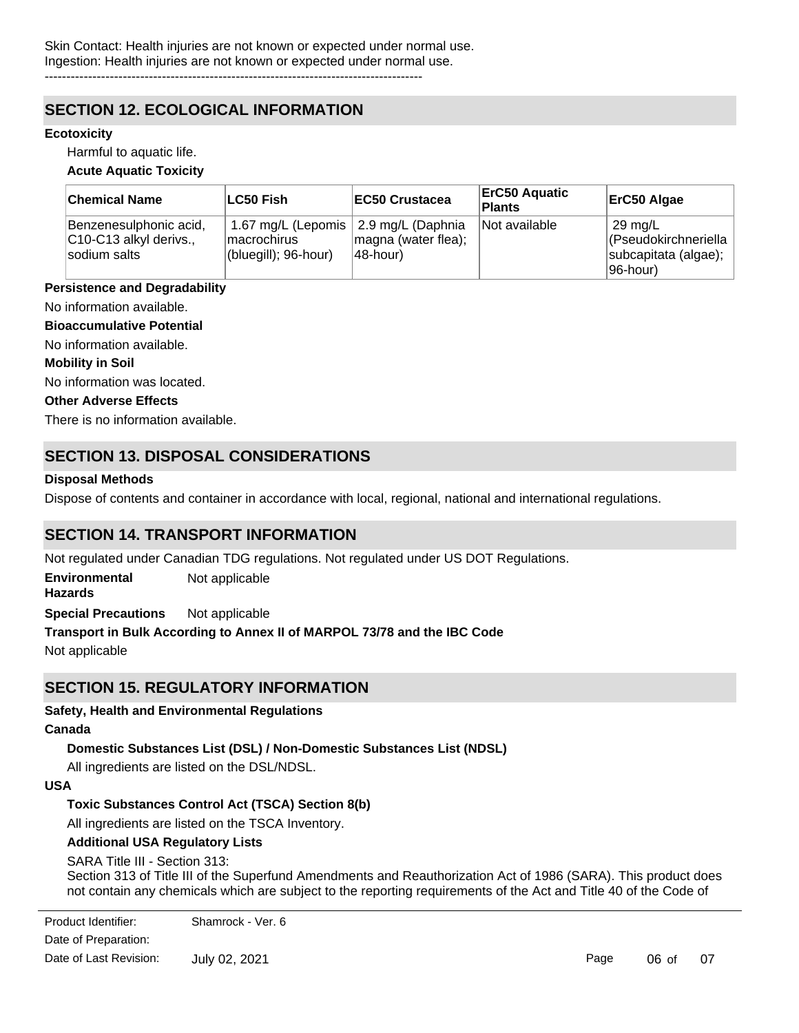# **SECTION 12. ECOLOGICAL INFORMATION**

### **Ecotoxicity**

Harmful to aquatic life.

#### **Acute Aquatic Toxicity**

| <b>Chemical Name</b>                                             | LC50 Fish                                                                      | <b>EC50 Crustacea</b>           | <b>ErC50 Aquatic</b><br><b>Plants</b> | ErC50 Algae                                                                      |
|------------------------------------------------------------------|--------------------------------------------------------------------------------|---------------------------------|---------------------------------------|----------------------------------------------------------------------------------|
| Benzenesulphonic acid,<br>C10-C13 alkyl derivs.,<br>sodium salts | 1.67 mg/L (Lepomis   2.9 mg/L (Daphnia<br>lmacrochirus<br>(bluegill); 96-hour) | magna (water flea);<br>48-hour) | Not available                         | $\frac{1}{29}$ mg/L<br>(Pseudokirchneriella<br>subcapitata (algae);<br>196-hour) |

#### **Persistence and Degradability**

No information available.

### **Bioaccumulative Potential**

No information available.

#### **Mobility in Soil**

No information was located.

### **Other Adverse Effects**

There is no information available.

# **SECTION 13. DISPOSAL CONSIDERATIONS**

#### **Disposal Methods**

Dispose of contents and container in accordance with local, regional, national and international regulations.

# **SECTION 14. TRANSPORT INFORMATION**

Not regulated under Canadian TDG regulations. Not regulated under US DOT Regulations.

**Environmental Hazards** Not applicable

**Special Precautions** Not applicable

## **Transport in Bulk According to Annex II of MARPOL 73/78 and the IBC Code**

Not applicable

# **SECTION 15. REGULATORY INFORMATION**

### **Safety, Health and Environmental Regulations**

#### **Canada**

### **Domestic Substances List (DSL) / Non-Domestic Substances List (NDSL)**

All ingredients are listed on the DSL/NDSL.

#### **USA**

### **Toxic Substances Control Act (TSCA) Section 8(b)**

All ingredients are listed on the TSCA Inventory.

### **Additional USA Regulatory Lists**

### SARA Title III - Section 313:

Federal Regulations, Part 372.

Section 313 of Title III of the Superfund Amendments and Reauthorization Act of 1986 (SARA). This product does not contain any chemicals which are subject to the reporting requirements of the Act and Title 40 of the Code of

Date of Preparation: July 02, 2021 Product Identifier: Shamrock - Ver. 6 Date of Last Revision:

Page 06 of 07